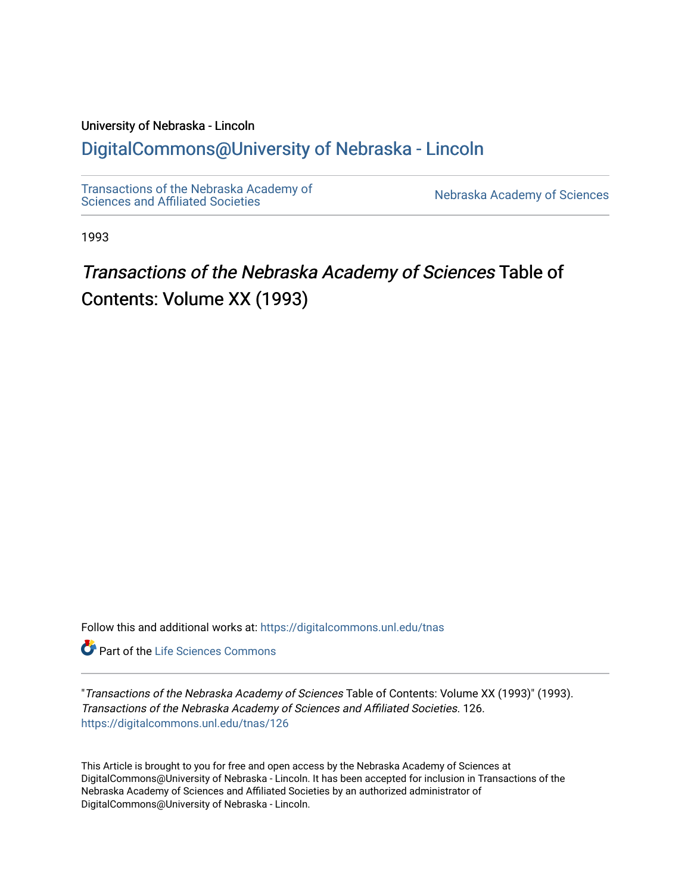### University of Nebraska - Lincoln [DigitalCommons@University of Nebraska - Lincoln](https://digitalcommons.unl.edu/)

[Transactions of the Nebraska Academy of](https://digitalcommons.unl.edu/tnas)  Transactions of the Nebraska Academy of Sciences<br>Sciences and Affiliated Societies

1993

## Transactions of the Nebraska Academy of Sciences Table of Contents: Volume XX (1993)

Follow this and additional works at: [https://digitalcommons.unl.edu/tnas](https://digitalcommons.unl.edu/tnas?utm_source=digitalcommons.unl.edu%2Ftnas%2F126&utm_medium=PDF&utm_campaign=PDFCoverPages) 

**Part of the Life Sciences Commons** 

"Transactions of the Nebraska Academy of Sciences Table of Contents: Volume XX (1993)" (1993). Transactions of the Nebraska Academy of Sciences and Affiliated Societies. 126. [https://digitalcommons.unl.edu/tnas/126](https://digitalcommons.unl.edu/tnas/126?utm_source=digitalcommons.unl.edu%2Ftnas%2F126&utm_medium=PDF&utm_campaign=PDFCoverPages) 

This Article is brought to you for free and open access by the Nebraska Academy of Sciences at DigitalCommons@University of Nebraska - Lincoln. It has been accepted for inclusion in Transactions of the Nebraska Academy of Sciences and Affiliated Societies by an authorized administrator of DigitalCommons@University of Nebraska - Lincoln.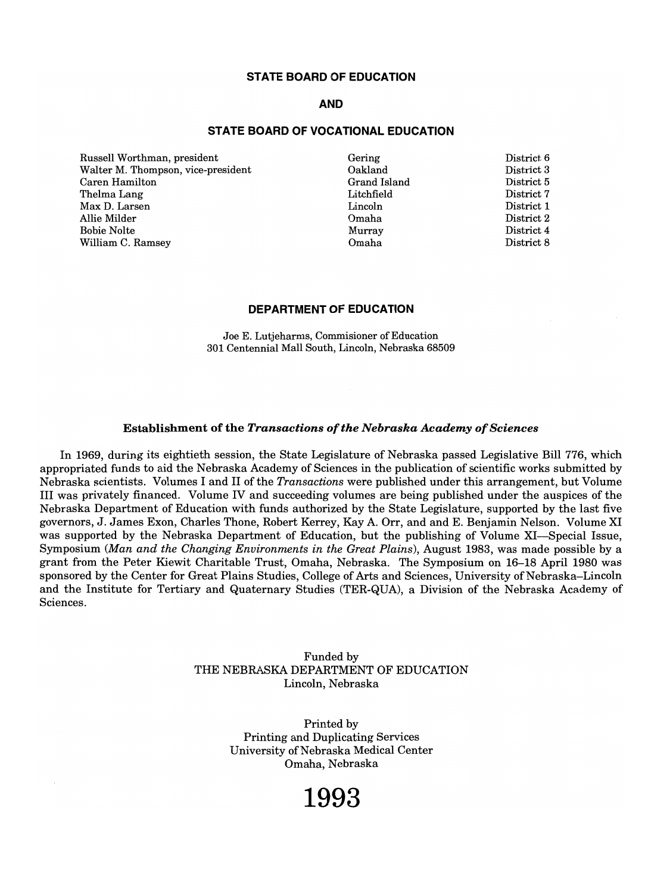#### **STATE BOARD OF EDUCATION**

#### **AND**

#### **STATE BOARD OF VOCATIONAL EDUCATION**

 $R_{\text{N}}$ ussell Worthman, president<br>C. J. D. Th Walter M. Thompson, vice-president Caren Hamilton<br>Thelma Lang neima Lang ax D. Larsen<br>'' Mild Allie Milder<br>Bobie Nolte William C. Ramsey

Gering Oakland akland<br>131 - 1 rang islan<br>Literatu Litchfield Lincoln Murray Omaha

 $\cdots$  $\text{Burct } \mathbf{0}$ District 5 District 7 District 1 District 2 District 4 District 8

#### **DEPARTMENT OF EDUCATION**

 $\overline{B}$   $\overline{B}$   $\overline{C}$   $\overline{C}$   $\overline{C}$   $\overline{C}$   $\overline{C}$   $\overline{C}$   $\overline{C}$   $\overline{C}$   $\overline{C}$   $\overline{C}$   $\overline{C}$   $\overline{C}$   $\overline{C}$   $\overline{C}$   $\overline{C}$   $\overline{C}$   $\overline{C}$   $\overline{C}$   $\overline{C}$   $\overline{C}$   $\overline{C}$   $\overline{C}$   $\overline{$ 300 E. Lutjenarms, Commisioner of Equation

#### Establishment of the *Transactions of the Nebraska Academy of Sciences*

 $I_{1060}$ , during its eightieth session, the State Legislature of Nebraska passed Legislative Bill 776, which is appropriated funds to aighteen session, the State Legislature of Nebraska passed Legislative Bill 776, which appropriated funds to aid the Nebraska Academy of Sciences in the publication of scientific works submitted by Nebraska scientists. Volumes I and II of the Transactions were published under this arrangement, but Volume III was privately financed. Volume IV and succeeding volumes are being published under the auspices of the Nebraska Department of Education with funds authorized by the State Legislature, supported by the last five governors, J. James Exon, Charles Thone, Robert Kerrey, Kay A. Orr, and and E. Benjamin Nelson. Volume XI was supported by the Nebraska Department of Education, but the publishing of Volume XI—Special Issue, Symposium (Man and the Changing Environments in the Great Plains), August 1983, was made possible by a grant from the Peter Kiewit Charitable Trust, Omaha, Nebraska. The Symposium on 16–18 April 1980 was sponsored by the Center for Great Plains Studies, College of Arts and Sciences, University of Nebraska-Lincoln and the Institute for Tertiary and Quaternary Studies (TER-QUA), a Division of the Nebraska Academy of Sciences.

> Funded by T UNUED BY<br>THE NEBRASKA DEPARTMENT OF EDUCATION DEFARIMENI OF

> > Printed by  $P$ rinted by Frinting and Duplicating Services University of Nebraska Medical Center<br>Omaha, Nebraska

## **1993**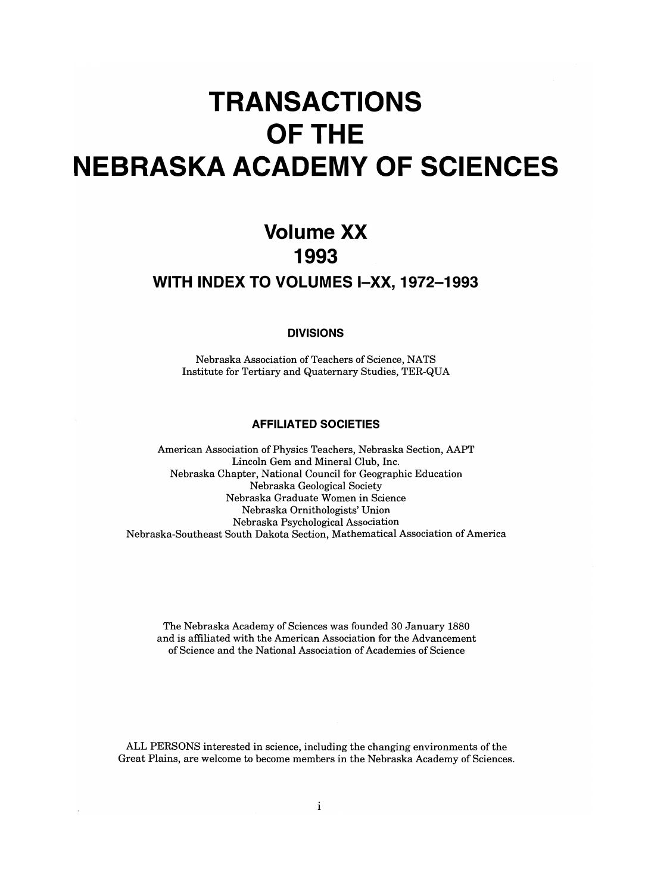# **TRANSACTIONS OFTHE NEBRASKA ACADEMY OF SCIENCES**

## **Volume xx 1993 WITH INDEX TO VOLUMES I-XX, 1972-1993**

**DIVISIONS** 

 $N = N + N$  as  $\epsilon = N + N$ INSTITUTE FOR THE TERRIFIC SCIENCE, NATIVELY AND ALL AREA CLIENTS.

#### **AFFILIATED SOCIETIES**

American Association of Physics Teachers, Nebraska Section, AAPT  $\mu$  and  $\sigma$  and  $\mu$  and  $\sigma$  and  $\sigma$  and  $\sigma$  $N_{\rm eff}$  Chapter Chapter Council for Geographic Educational Council for Geographic Education National Council for Geograp  $N$ ebraska Geological Society aska Graduate women in Science Nebraska Ornithologists' Union<br>Nebraska Psychological Association Nebraska-Southeast South Dakota Section, Mathematical Association of America

 $\sum_{i=1}^{n}$   $\sum_{i=1}^{n}$   $\sum_{i=1}^{n}$   $\sum_{i=1}^{n}$   $\sum_{i=1}^{n}$   $\sum_{i=1}^{n}$   $\sum_{i=1}^{n}$   $\sum_{i=1}^{n}$   $\sum_{i=1}^{n}$   $\sum_{i=1}^{n}$   $\sum_{i=1}^{n}$   $\sum_{i=1}^{n}$   $\sum_{i=1}^{n}$   $\sum_{i=1}^{n}$   $\sum_{i=1}^{n}$   $\sum_{i=1}^{n}$   $\sum_{i=1}^{n}$  The Nebraska Academy of Sciences was founded 30 January 1880 and is affiliated with the American Association for the Advancement of Science and the National Association of Academies of Science

 $\begin{bmatrix} \mathbf{A} & \mathbf{B} & \mathbf{B} & \mathbf{B} & \mathbf{B} & \mathbf{C} & \mathbf{A} & \mathbf{A} & \mathbf{A} & \mathbf{A} & \mathbf{A} & \mathbf{A} & \mathbf{A} & \mathbf{A} & \mathbf{A} & \mathbf{A} & \mathbf{A} & \mathbf{A} & \mathbf{A} & \mathbf{A} & \mathbf{A} & \mathbf{A} & \mathbf{A} & \mathbf{A} & \mathbf{A} & \mathbf{A} & \mathbf{A} & \mathbf{A} & \mathbf{A} & \mathbf{A} & \mathbf{$ ALL PLASUNS interested in science, including the changing environments of the

i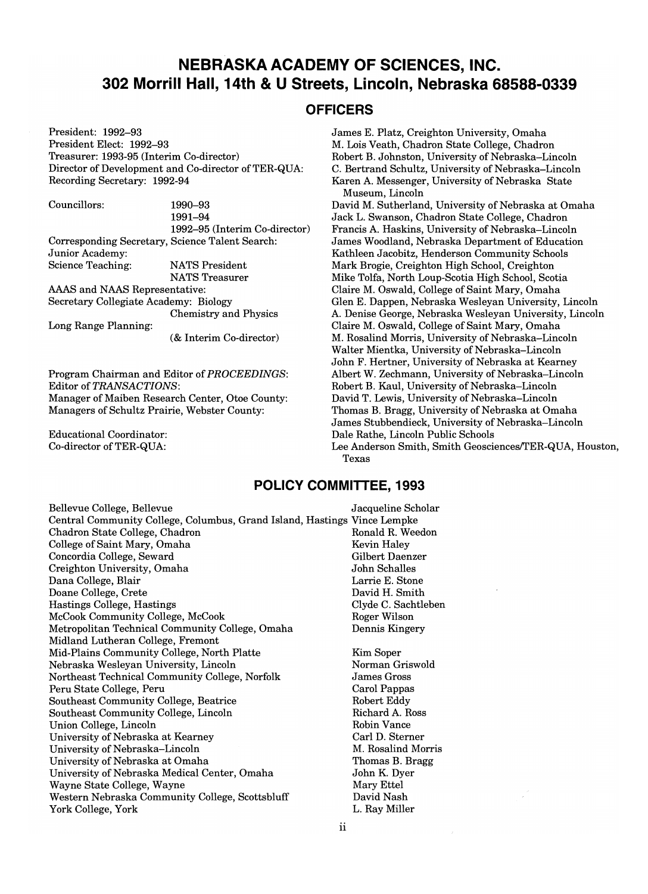### **NEBRASKA ACADEMY OF SCIENCES, INC. 302 Morrill Hall, 14th & U Streets, Lincoln, Nebraska 68588-0339**

#### **OFFICERS**

President: 1992-93 President Elect: 1992-93 Treasurer: 1993-95 (Interim Co-director) Director of Development and Co-director of TER-QUA: Recording Secretary: 1992-94

Councillors: 1990-93<br>1991-94 1992-95 (Interim Co-director)  $1992 - 90$  (interim Co-dire brresponding Secrets Science Teaching: NATS President NATS Treasurer AAAS and NAAS Representative:

Secretary Collegiate Academy: Biology Chemistry and Physics

Long Range Planning:

(& Interim Co-director)

Program Chairman and Editor of *PROCEEDINGS:*  Editor of *TRANSACTIONS:*  Editor of TRANSACTIONS:<br>Manager of Maiben Research Center, Otoe County: Managers of Schultz Prairie, Webster County:

 $\begin{bmatrix} 1 & 1 \\ 1 & 1 \end{bmatrix}$ nucational Coordinator:<br>Control Cattle

James E. Platz, Creighton University, Omaha M. Lois Veath, Chadron State College, Chadron Robert B. Johnston, University of Nebraska-Lincoln C. Bertrand Schultz, University of Nebraska-Lincoln Bertrand Schultz, University of Nebraska-Lincoln  $m_{\text{max}}$  messenger,  $\frac{1}{2}$ 

David M. Sutherland, University of Nebraska at Omaha Jack L. Swanson, Chadron State College, Chadron Francis A. Haskins, University of Nebraska-Lincoln ancis A. Haskins, University of Nebraska–Lincoln  $k$ atheen woodland, Nebraska Department of Equipment Schools Kathleen Jacobitz, Henderson Community Schools<br>Mark Brogie, Creighton High School, Creighton ark brogie, Creignion High School, Creignion The Folla, North Loup-Scotla right School, Scotla Claire M. Oswald, College of Saint Mary, Omaha<br>Glen E. Dappen, Nebraska Wesleyan University, Lincoln en E. Dappen, Nebraska wesleyan University, Lincoln Denise George, Nebraska wesieyan University, I Claire M. Oswald, College of Saint Mary, Omaha<br>M. Rosalind Morris, University of Nebraska-Lincoln Walter Million Controller Million Nebraska-Lincoln Nebraska<br>Million Nebraska alter Mientka, University of Nebraska–Lincoln<br>John F. Hertzug Heisen ihre GNA andered Kearner John F. Hertner, University of Nebraska at Kearney<br>Albert W. Zechmann, University of Nebraska–Lincoln Robert B. Kaul, University of Nebraska-Lincoln David T. Lewis, University of Nebraska-Lincoln Thomas B. Bragg, University of Nebraska at Omaha domas B. Bragg, University of Nebraska-at Umana  $\mathbf{D}$  Dale Rathers Schools Bublic Schools  $\mathbf{D}$  and  $\mathbf{D}$  and  $\mathbf{D}$  and  $\mathbf{D}$ Let  $\mathcal{L}$  and  $\mathcal{L}$  and  $\mathcal{L}$  and  $\mathcal{L}$  and  $\mathcal{L}$  and  $\mathcal{L}$  and  $\mathcal{L}$  and  $\mathcal{L}$  and  $\mathcal{L}$  and  $\mathcal{L}$  and  $\mathcal{L}$  and  $\mathcal{L}$  and  $\mathcal{L}$  and  $\mathcal{L}$  and  $\mathcal{L}$  and  $\mathcal{L}$  and  $\mathcal{L}$  Anders

#### **POLICY COMMITTEE, 1993**

Bellevue College, Bellevue **College, Bellevue** Jacqueline Scholar Central Community College, College, College, College, College, Columbus, Grand Island, Hastings Vince Lempke, Philad Community College, Columbus, Grand Island, Hastings Vince Lempke Chadron State College, Chadron (Englished Romald R. Weedon College of Saint Mary, Omaha Kevin Haley College of Saint Mary, Omaha<br>
Concordia College, Seward Gilbert Daenzer Creighton University, Omaha John Schalles Dana College, Blair Larrie E. Stone ana College, Diair Doane College, Crete Basic College, Hastings College, Hastings College, Hastings College, Hastings College, Hastings College, Hastings College, Hastings College, Hastings College, Hastings College, Hastings College, Hastin McCook Community College, McCook Roger Wilson  $\text{CCOOK}$  Community College, MCCOOK ROGER ROGER MISON etropolitan Technical Community Co Midland Lutheran College, Fremont Mid-Plains Community College, North Platte Nebraska Wesleyan University, Lincoln Northeast Technical Community College, Norfolk<br>Peru State College, Peru eru State College, Peru  $S$  community College, Beatrice Southeast Community College, Lincoln<br>Union College, Lincoln  $\begin{array}{c}\n\text{mon College, Lincoln} \\
\vdots \\
\text{GN 1} \\
\end{array}$ niversity of Nebraska at Nearney University of Nebraska at Omaha niversity of Nebraska at Omaha niversity of Nebraska Medical ayne State College, wayne estern Nebraska Co

ii<br>i Kim Soper  $\frac{\text{Im } \text{SOper}}{\text{G} \cdot \text{H}}$ orman Griswo James Gross Carol Pappas<br>Robert Eddy bert Laay charu A. Nos.<br>Vance  $\sum_{i=1}^{\infty}$ ari D. Suerner $\sum_{n=1}^{\infty}$ M. Rosalind Morris Thomas B. Bragg John K. Dyer Mary Ettel<br>David Nash avid Ivasii<br>D. Mille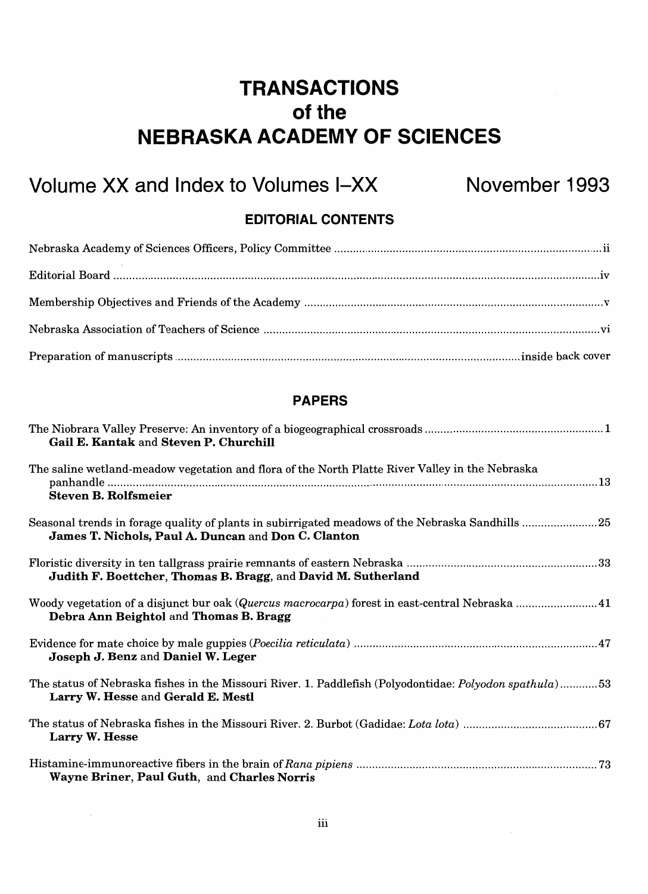## **TRANSACTIONS**  of the **NEBRASKA ACADEMY OF SCIENCES**

## Volume XX and Index to Volumes I-XX November 1993

### **EDITORIAL CONTENTS**

### **PAPERS**

| Gail E. Kantak and Steven P. Churchill                                                                                                                  |
|---------------------------------------------------------------------------------------------------------------------------------------------------------|
| The saline wetland-meadow vegetation and flora of the North Platte River Valley in the Nebraska                                                         |
| <b>Steven B. Rolfsmeier</b>                                                                                                                             |
| Seasonal trends in forage quality of plants in subirrigated meadows of the Nebraska Sandhills 25<br>James T. Nichols, Paul A. Duncan and Don C. Clanton |
| Judith F. Boettcher, Thomas B. Bragg, and David M. Sutherland                                                                                           |
| Woody vegetation of a disjunct bur oak (Quercus macrocarpa) forest in east-central Nebraska  41<br>Debra Ann Beightol and Thomas B. Bragg               |
| Joseph J. Benz and Daniel W. Leger                                                                                                                      |
| The status of Nebraska fishes in the Missouri River. 1. Paddlefish (Polyodontidae: Polyodon spathula)53<br>Larry W. Hesse and Gerald E. Mestl           |
| Larry W. Hesse                                                                                                                                          |
| Wayne Briner, Paul Guth, and Charles Norris                                                                                                             |